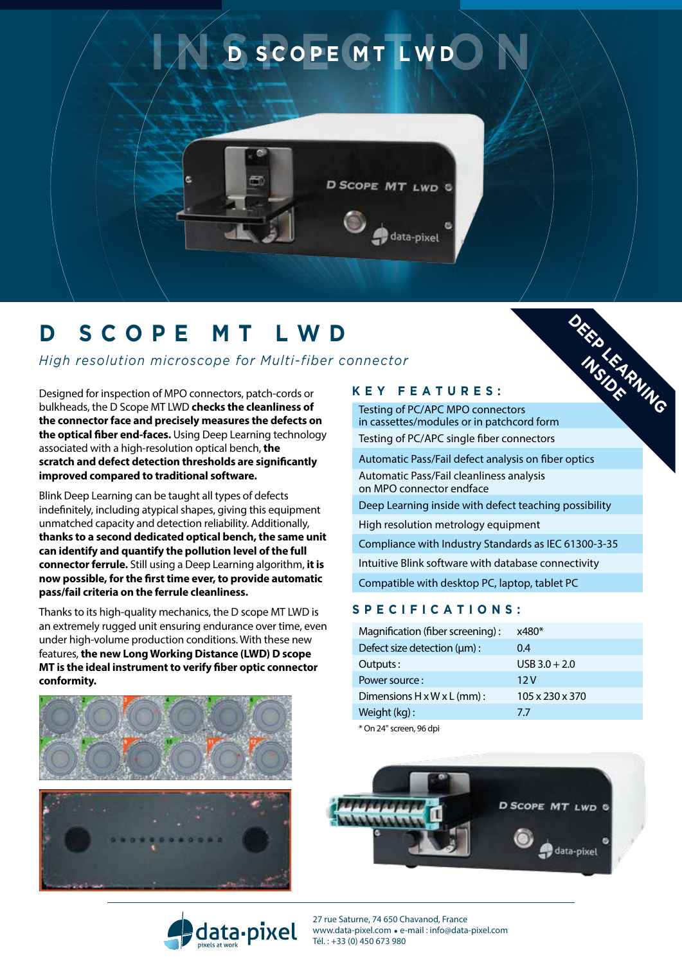

# **D SCOPE mt lw d**

*High resolution microscope for Multi-fiber connector*

Designed for inspection of MPO connectors, patch-cords or bulkheads, the D Scope MT LWD **checks the cleanliness of the connector face and precisely measures the defects on the optical fiber end-faces.** Using Deep Learning technology associated with a high-resolution optical bench, **the scratch and defect detection thresholds are significantly improved compared to traditional software.**

Blink Deep Learning can be taught all types of defects indefinitely, including atypical shapes, giving this equipment unmatched capacity and detection reliability. Additionally, **thanks to a second dedicated optical bench, the same unit can identify and quantify the pollution level of the full connector ferrule.** Still using a Deep Learning algorithm, **it is now possible, for the first time ever, to provide automatic pass/fail criteria on the ferrule cleanliness.**

Thanks to its high-quality mechanics, the D scope MT LWD is an extremely rugged unit ensuring endurance over time, even under high-volume production conditions. With these new features, **the new Long Working Distance (LWD) D scope MT is the ideal instrument to verify fiber optic connector conformity.**





#### **K e y f e atur es :**

Testing of PC/APC MPO connectors in cassettes/modules or in patchcord form Testing of PC/APC single fiber connectors

Automatic Pass/Fail defect analysis on fiber optics Automatic Pass/Fail cleanliness analysis on MPO connector endface Deep Learning inside with defect teaching possibility High resolution metrology equipment Compliance with Industry Standards as IEC 61300-3-35 Intuitive Blink software with database connectivity

**INSIDER** 

### Compatible with desktop PC, laptop, tablet PC

#### **S pec ifi c ati o n s :**

| Magnification (fiber screening): | $x480*$         |
|----------------------------------|-----------------|
| Defect size detection (µm):      | 0.4             |
| Outputs:                         | $USB$ 3.0 + 2.0 |
| Power source:                    | 12V             |
| Dimensions H x W x L (mm) :      | 105 x 230 x 370 |
| Weight (kg):                     | 77              |
|                                  |                 |

\* On 24" screen, 96 dpi





27 rue Saturne, 74 650 Chavanod, France www.data-pixel.com . e-mail : info@data-pixel.com Tél. : +33 (0) 450 673 980